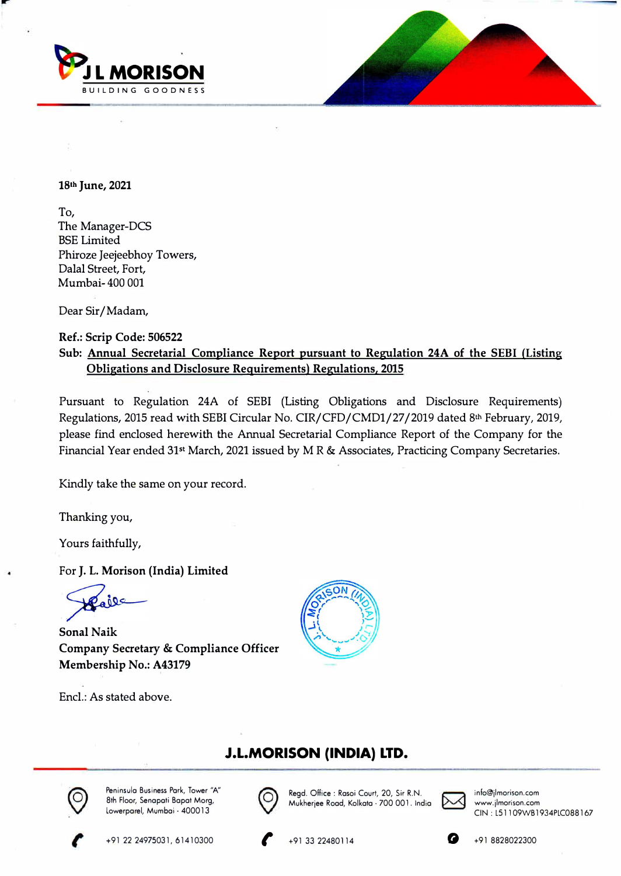



18**th June,** 2021

To, The Manager-DCS BSE Limited Phiroze Jeejeebhoy Towers, Dalal Street, Fort, Mumbai- 400 001

Dear Sir/Madam,

#### **Ref.: Scrip Code: 506522**

## **Sub: Annual Secretarial Compliance Report pursuant to Regulation 24A of the SEBI (Listing Obligations and Disclosure Requirements) Regulations, 2015**

Pursuant to Regulation 24A of SEBI (Listing Obligations and Disclosure Requirements) Regulations, 2015 read with SEBI Circular No. CIR/CFD/CMD1/27/2019 dated 8th February, 2019, please find enclosed herewith the Annual Secretarial Compliance Report of the Company for the Financial Year ended 31**st** March, 2021 issued by M R & Associates, Practicing Company Secretaries.

Kindly take the same on your record.

Thanking you,

Yours faithfully,

For J. L. **Morison (India) Limited** 

**Sonal Naik Company Secretary** & **Compliance Officer Membership No.: A43179** 

Encl.: As stated above.



# **J.L.MORISON {INDIA) LTD.**



Peninsula Business Park, Tower "A" 8th Floor, Senapati Bapat Morg, Lowerparel, Mumbai · 400013



Regd. Office: Rasoi Court, 20, Sir R.N. Mukherjee Road, Kolkata · 700 001 . India



info@jlmorison.com www.jlmorison.com CIN : LS 1109WB 1934PLC088167







+91 8828022300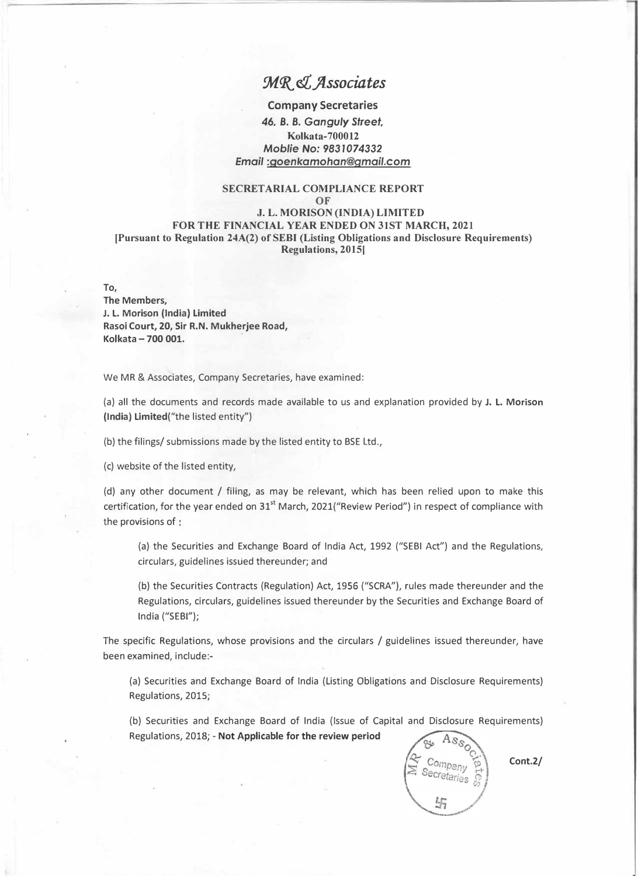# $MR & Associates$

### **Company Secretaries**  *46, B. B. Ganguly Street,*  **Kolkata-700012**  *Moblie No: 9831074332 Email :goenkamohan@gmail.com*

## **SECRET ARIAL COMPLIANCE REPORT**

**OF** 

#### **J. L. MORISON (INDIA) LIMITED FOR THE FINANCIAL YEAR ENDED ON 31ST MARCH, 2021 [Pursuant to Regulation 24A(2) of SEBI (Listing Obligations and Disclosure Requirements) Regulations, 2015)**

#### **To,**

**The Members, J. L. Morison (India) Limited Rasoi Court, 20, Sir R.N. Mukherjee Road, Kolkata - 700 001.**

We MR & Associates, Company Secretaries, have examined:

(a) all the documents and records made available to us and explanation provided by **J. L. Morison (India) Limited("the** listed entity")

(b) the filings/ submissions made by the listed entity to BSE Ltd.,

(c) website of the listed entity,

(d) any other document / filing, as may be relevant, which has been relied upon to make this certification, for the year ended on 31<sup>st</sup> March, 2021("Review Period") in respect of compliance with the provisions of :

(a) the Securities and Exchange Board of India Act, 1992 ("SEBI Act") and the Regulations, circulars, guidelines issued thereunder; and

(b) the Securities Contracts (Regulation) Act, 1956 ("SCRA"), rules made thereunder and the Regulations, circulars, guidelines issued thereunder by the Securities and Exchange Board of India ("SEBI");

The specific Regulations, whose provisions and the circulars / guidelines issued thereunder, have been examined, include:-

(a) Securities and Exchange Board of India (Listing Obligations and Disclosure Requirements) Regulations, 2015;

(b) Securities and Exchange Board of India (Issue of Capital and Disclosure Requirements) Regulations, 2018; - **Not Applicable for the review period** 

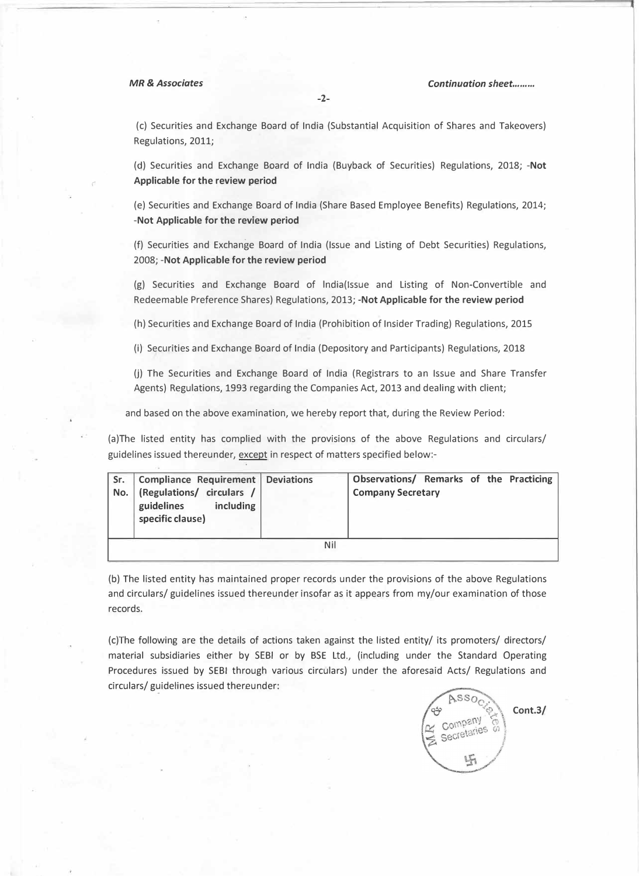*(* 

(c) Securities and Exchange Board of India (Substantial Acquisition of Shares and Takeovers) Regulations, 2011;

**-2-**

(d) Securities and Exchange Board of India (Buyback of Securities) Regulations, 2018; **-Not Applicable for the review period** 

(e) Securities and Exchange Board of India (Share Based Employee Benefits) Regulations, 2014; **-Not Applicable for the review period**

(f) Securities and Exchange Board of India (Issue and Listing of Debt Securities) Regulations, 2008; **-Not Applicable for the review period**

(g) Securities and Exchange Board of lndia(lssue and Listing of Non-Convertible and Redeemable Preference Shares) Regulations, 2013; **-Not Applicable for the review period**

(h) Securities and Exchange Board of India (Prohibition of Insider Trading) Regulations, 2015

(i) Securities and Exchange Board of India (Depository and Participants) Regulations, 2018

(j) The Securities and Exchange Board of India (Registrars to an Issue and Share Transfer Agents) Regulations, 1993 regarding the Companies Act, 2013 and dealing with client;

and based on the above examination, we hereby report that, during the Review Period:

(a)The listed entity has complied with the provisions of the above Regulations and circulars/ guidelines issued thereunder, except in respect of matters specified below:-

| Sr. | Compliance Requirement   Deviations<br>No. (Regulations/ circulars /<br>including<br>guidelines<br>specific clause) |  | Observations/ Remarks of the Practicing<br><b>Company Secretary</b> |  |  |  |  |  |
|-----|---------------------------------------------------------------------------------------------------------------------|--|---------------------------------------------------------------------|--|--|--|--|--|
| Nil |                                                                                                                     |  |                                                                     |  |  |  |  |  |

(b) The listed entity has maintained proper records under the provisions of the above Regulations and circulars/ guidelines issued thereunder insofar as it appears from my/our examination of those records.

(c)The following are the details of actions taken against the listed entity/ its promoters/ directors/ material subsidiaries either by SEBI or by BSE Ltd., (including under the Standard Operating Procedures issued by SEBI through various circulars) under the aforesaid Acts/ Regulations and circulars/ guidelines issued thereunder:

 $\overline{\lambda$ SSO<sub>C</sub> **Cont.3/** Company Company<br>Secretaries of